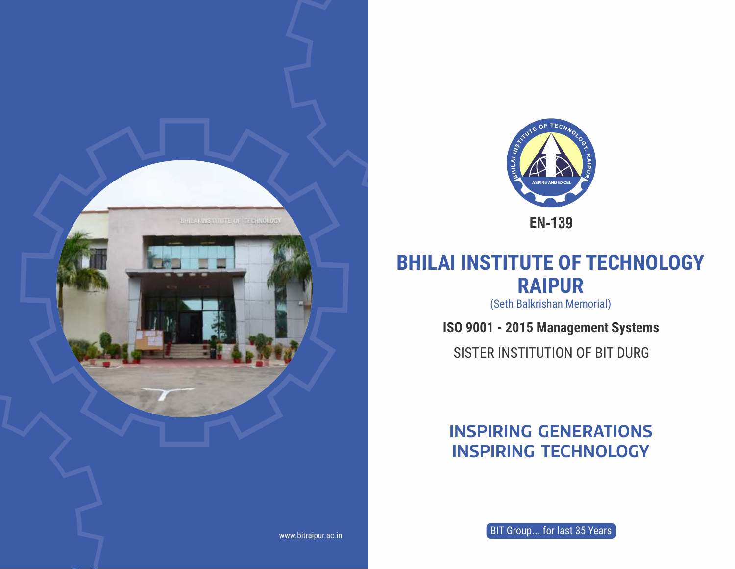



# **BHILAI INSTITUTE OF TECHNOLOGY RAIPUR**

(Seth Balkrishan Memorial)

**ISO 9001 - 2015 Management Systems**

SISTER INSTITUTION OF BIT DURG

## **INSPIRING GENERATIONS INSPIRING TECHNOLOGY**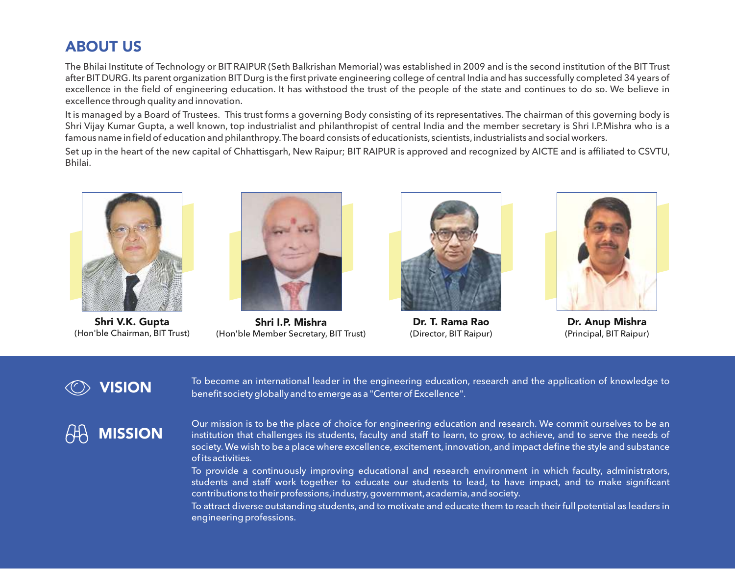#### ABOUT US

The Bhilai Institute of Technology or BIT RAIPUR (Seth Balkrishan Memorial) was established in 2009 and is the second institution of the BIT Trust after BIT DURG. Its parent organization BIT Durg is the first private engineering college of central India and has successfully completed 34 years of excellence in the field of engineering education. It has withstood the trust of the people of the state and continues to do so. We believe in excellence through quality and innovation.

It is managed by a Board of Trustees. This trust forms a governing Body consisting of its representatives. The chairman of this governing body is Shri Vijay Kumar Gupta, a well known, top industrialist and philanthropist of central India and the member secretary is Shri I.P.Mishra who is a famous name in field of education and philanthropy.The board consists of educationists, scientists,industrialists and social workers.

Set up in the heart of the new capital of Chhattisgarh, New Raipur; BIT RAIPUR is approved and recognized by AICTE and is affiliated to CSVTU, Bhilai.



Shri V.K. Gupta (Hon'ble Chairman, BIT Trust)



Shri I.P. Mishra (Hon'ble Member Secretary, BIT Trust)



Dr. T. Rama Rao (Director, BIT Raipur)



Dr. Anup Mishra (Principal, BIT Raipur)

## $\oslash$  vision

To become an international leader in the engineering education, research and the application of knowledge to benefit society globally and to emerge as a "Center of Excellence".

# MISSION

Our mission is to be the place of choice for engineering education and research. We commit ourselves to be an institution that challenges its students, faculty and staff to learn, to grow, to achieve, and to serve the needs of society.We wish to be a place where excellence, excitement, innovation, and impact define the style and substance of its activities.

To provide a continuously improving educational and research environment in which faculty, administrators, students and staff work together to educate our students to lead, to have impact, and to make significant contributions to their professions,industry,government,academia,and society.

To attract diverse outstanding students, and to motivate and educate them to reach their full potential as leaders in engineering professions.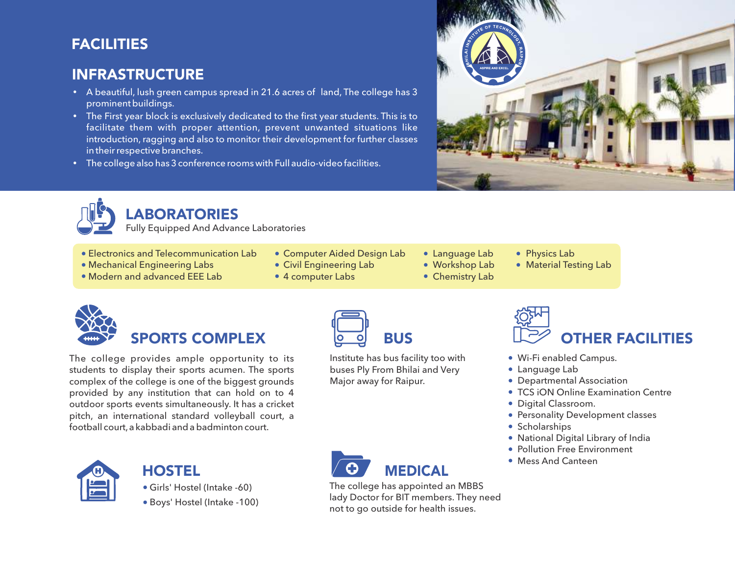## **FACILITIES**

#### INFRASTRUCTURE

- A beautiful, lush green campus spread in 21.6 acres of land, The college has 3 prominent buildings.
- The First year block is exclusively dedicated to the first year students. This is to facilitate them with proper attention, prevent unwanted situations like introduction, ragging and also to monitor their development for further classes in their respective branches.
- The college also has 3 conference rooms with Full audio-video facilities.





## **LABORATORIES**

Fully Equipped And Advance Laboratories

- Electronics and Telecommunication Lab
- Mechanical Engineering Labs
- Modern and advanced EEE Lab
- Computer Aided Design Lab
- Civil Engineering Lab
- 4 computer Labs
- Language Lab
- Workshop Lab
- Chemistry Lab
- Physics Lab
- Material Testing Lab



# SPORTS COMPLEX

The college provides ample opportunity to its students to display their sports acumen. The sports complex of the college is one of the biggest grounds provided by any institution that can hold on to 4 outdoor sports events simultaneously. It has a cricket pitch, an international standard volleyball court, a football court,a kabbadi and a badminton court.



#### **HOSTEL**

Girls' Hostel (Intake -60)

Boys' Hostel (Intake -100)



Institute has bus facility too with buses Ply From Bhilai and Very Major away for Raipur.



- Wi-Fi enabled Campus.
- Language Lab
- Departmental Association
- TCS iON Online Examination Centre
- **Digital Classroom.**
- **Personality Development classes**
- **Scholarships**
- National Digital Library of India
- **Pollution Free Environment**
- Mess And Canteen

MEDICAL

The college has appointed an MBBS lady Doctor for BIT members. They need not to go outside for health issues.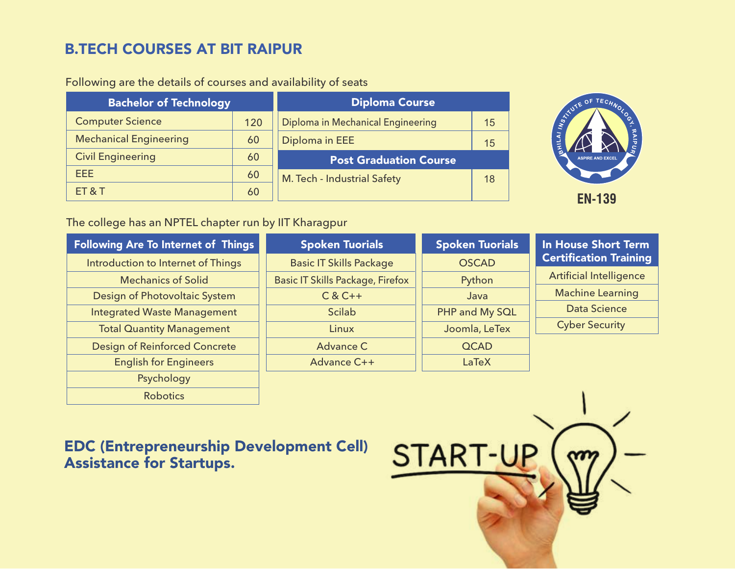## B.TECH COURSES AT BIT RAIPUR

| <b>Bachelor of Technology</b> |     | <b>Diploma Course</b>             |    |  |
|-------------------------------|-----|-----------------------------------|----|--|
| <b>Computer Science</b>       | 120 | Diploma in Mechanical Engineering | 15 |  |
| <b>Mechanical Engineering</b> | 60  | Diploma in EEE                    | 15 |  |
| <b>Civil Engineering</b>      | 60  | <b>Post Graduation Course</b>     |    |  |
| EEE.                          | 60  | M. Tech - Industrial Safety       |    |  |
| <b>ET &amp; T</b>             | 60  |                                   |    |  |

#### Following are the details of courses and availability of seats



#### The college has an NPTEL chapter run by IIT Kharagpur

| <b>Following Are To Internet of Things</b> | <b>Spoken Tuorials</b>                  | <b>Spoken Tuorials</b> | <b>In House Short Term</b>     |  |  |
|--------------------------------------------|-----------------------------------------|------------------------|--------------------------------|--|--|
| Introduction to Internet of Things         | <b>Basic IT Skills Package</b>          | <b>OSCAD</b>           | <b>Certification Training</b>  |  |  |
| <b>Mechanics of Solid</b>                  | <b>Basic IT Skills Package, Firefox</b> | Python                 | <b>Artificial Intelligence</b> |  |  |
| Design of Photovoltaic System              | $C & C++$                               | Java                   | <b>Machine Learning</b>        |  |  |
| <b>Integrated Waste Management</b>         | <b>Scilab</b>                           | PHP and My SQL         | <b>Data Science</b>            |  |  |
| <b>Total Quantity Management</b>           | Linux                                   | Joomla, LeTex          | <b>Cyber Security</b>          |  |  |
| <b>Design of Reinforced Concrete</b>       | <b>Advance C</b>                        | <b>QCAD</b>            |                                |  |  |
| <b>English for Engineers</b>               | Advance C++                             | LaTeX                  |                                |  |  |
| Psychology                                 |                                         |                        |                                |  |  |
| <b>Robotics</b>                            |                                         |                        |                                |  |  |

#### EDC (Entrepreneurship Development Cell) Assistance for Startups.

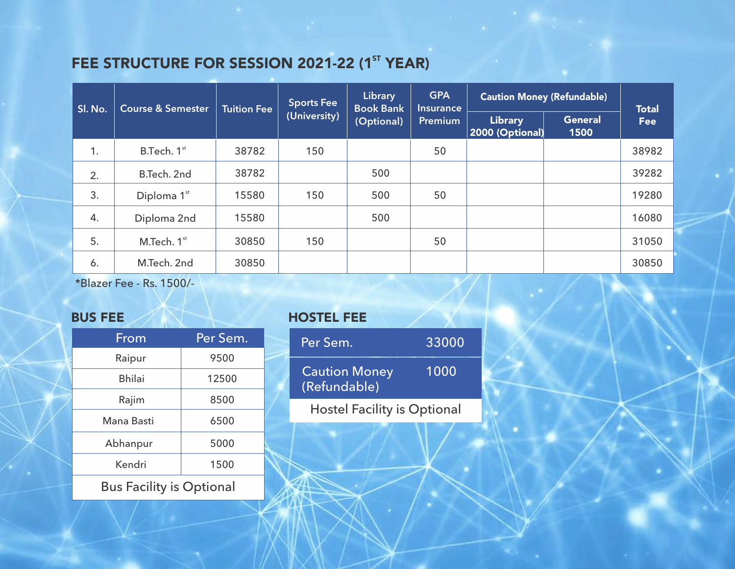## FEE STRUCTURE FOR SESSION 2021-22 (1<sup>ST</sup> YEAR)

| Sl. No. | <b>Course &amp; Semester</b> | <b>Tuition Fee</b> | <b>Sports Fee</b> | Library<br><b>Book Bank</b> | <b>GPA</b><br>Insurance<br>Premium | <b>Caution Money (Refundable)</b> | <b>Total</b>           |            |
|---------|------------------------------|--------------------|-------------------|-----------------------------|------------------------------------|-----------------------------------|------------------------|------------|
|         |                              |                    | (University)      | (Optional)                  |                                    | <b>Library</b><br>2000 (Optional) | <b>General</b><br>1500 | <b>Fee</b> |
| 1.      | B.Tech. 1st                  | 38782              | 150               |                             | 50                                 |                                   |                        | 38982      |
| 2.      | B.Tech. 2nd                  | 38782              |                   | 500                         |                                    |                                   |                        | 39282      |
| 3.      | Diploma 1st                  | 15580              | 150               | 500                         | 50                                 |                                   |                        | 19280      |
| 4.      | Diploma 2nd                  | 15580              |                   | 500                         |                                    |                                   |                        | 16080      |
| 5.      | M.Tech. 1st                  | 30850              | 150               |                             | 50                                 |                                   |                        | 31050      |
| 6.      | M.Tech. 2nd                  | 30850              |                   |                             |                                    |                                   |                        | 30850      |

\*Blazer Fee - Rs. 1500/-

| From          | Per Sem. |
|---------------|----------|
| Raipur        | 9500     |
| <b>Bhilai</b> | 12500    |
| Rajim         | 8500     |
| Mana Basti    | 6500     |
| Abhanpur      | 5000     |
| Kendri        | 1500     |
|               |          |

Bus Facility is Optional

#### BUS FEE HOSTEL FEE

| Per Sem.                             | 33000 |  |  |  |
|--------------------------------------|-------|--|--|--|
| <b>Caution Money</b><br>(Refundable) | 1000  |  |  |  |
| <b>Hostel Facility is Optional</b>   |       |  |  |  |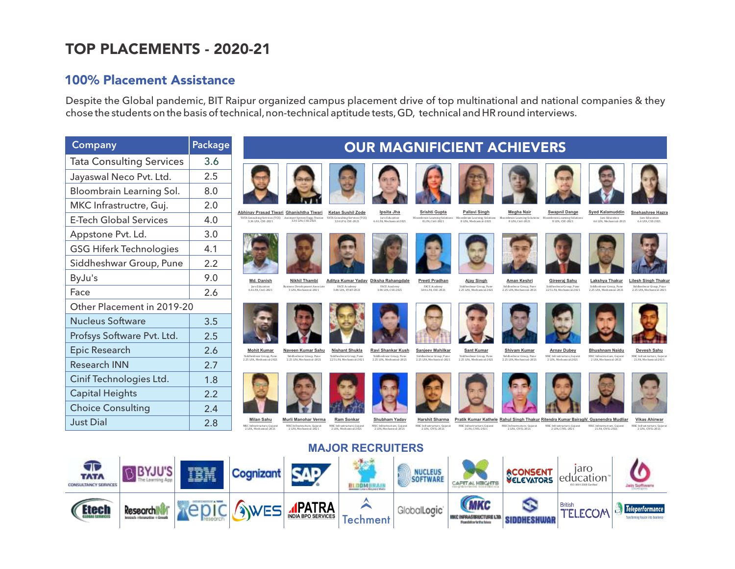## TOP PLACEMENTS - 2020-21

#### 100% Placement Assistance

Despite the Global pandemic, BIT Raipur organized campus placement drive of top multinational and national companies & they chose the students on the basis of technical, non-technical aptitude tests, GD, technical and HR round interviews.

| <b>Company</b>                  | Package |                                                                            |                                                                                                                                                              |                                                                     |                                                                        |                                                                     | <b>OUR MAGNIFICIENT ACHIEVERS</b>                                                                                                      |                                                      |                                                                                |                                                                     |                                                                          |
|---------------------------------|---------|----------------------------------------------------------------------------|--------------------------------------------------------------------------------------------------------------------------------------------------------------|---------------------------------------------------------------------|------------------------------------------------------------------------|---------------------------------------------------------------------|----------------------------------------------------------------------------------------------------------------------------------------|------------------------------------------------------|--------------------------------------------------------------------------------|---------------------------------------------------------------------|--------------------------------------------------------------------------|
| <b>Tata Consulting Services</b> | 3.6     |                                                                            |                                                                                                                                                              |                                                                     |                                                                        |                                                                     |                                                                                                                                        |                                                      |                                                                                |                                                                     |                                                                          |
| Jayaswal Neco Pvt. Ltd.         | 2.5     |                                                                            |                                                                                                                                                              |                                                                     |                                                                        |                                                                     |                                                                                                                                        |                                                      |                                                                                |                                                                     |                                                                          |
| Bloombrain Learning Sol.        | 8.0     |                                                                            |                                                                                                                                                              |                                                                     |                                                                        |                                                                     |                                                                                                                                        |                                                      |                                                                                |                                                                     |                                                                          |
| MKC Infrastructre, Guj.         | 2.0     |                                                                            |                                                                                                                                                              |                                                                     |                                                                        |                                                                     |                                                                                                                                        |                                                      |                                                                                |                                                                     |                                                                          |
| <b>E-Tech Global Services</b>   | 4.0     | 3.36 LPA, CSE-2021                                                         | Abhinav Prasad Tiwari Ghanishtha Tiwari<br>TATA Consulting Services (TCS) Assistant System Engg.-Trainee TATA Consulting Services (TCS)<br>3.36 LPA CSE-2021 | <b>Ketan Sushil Zode</b><br>3.36 LPA CSE-2021                       | Ipsita Jha<br>Jaro Education<br>6.6 LPA Mechanical-2021                | Srishti Gupta<br>Bloombrain Learning Solutions<br>8 LPA, Civil-2021 | Pallavi Singh<br>Bloombrain Learning Solutions Bloombrain Learning Solutions<br>8 LPA Mechanical-2021                                  | <b>Megha Nair</b><br>8 I.PA Civil-2021               | <b>Swapnil Dange</b><br><b>Bloombrain Learning Solutions</b><br>8 LPA CSE-2021 | <b>Syed Kalamuddin</b><br>Jaro Education<br>6.61.PA Mechanical-2021 | Snehashree Hazra<br>Jaro Education<br>6.6 LPA CSE-2021                   |
| Appstone Pvt. Ld.               | 3.0     |                                                                            |                                                                                                                                                              |                                                                     |                                                                        |                                                                     |                                                                                                                                        |                                                      |                                                                                |                                                                     |                                                                          |
| <b>GSG Hiferk Technologies</b>  | 4.1     |                                                                            |                                                                                                                                                              |                                                                     |                                                                        |                                                                     |                                                                                                                                        |                                                      |                                                                                |                                                                     |                                                                          |
| Siddheshwar Group, Pune         | 2.2     |                                                                            |                                                                                                                                                              |                                                                     |                                                                        |                                                                     |                                                                                                                                        |                                                      |                                                                                |                                                                     |                                                                          |
| ByJu's                          | 9.0     | Md. Danish                                                                 | <b>Nikhil Thambi</b>                                                                                                                                         |                                                                     | Aditya Kumar Yadav Diksha Rahangdale                                   | Preeti Pradhan                                                      | <b>Ajay Singh</b>                                                                                                                      | Aman Keshri                                          | Gireeraj Sahu                                                                  | Lakshya Thakur                                                      | <b>Lilesh Singh Thakur</b>                                               |
| Face                            | 2.6     | Jaro Education<br>6.6 LPA. Civil-2021                                      | <b>Business Development Associate</b><br>3 LPA. Mechanical-2021                                                                                              | FACE Academy<br>3.06 LPA, ET&T-2021                                 | FACE Academy<br>3.06 LPA, CSE-2021                                     | FACE Academy<br>3.06 LPA, CSE-2021                                  | Siddheshwar Group, Pune<br>2.25 LPA. Mechanical-2021                                                                                   | Siddheshwar Group, Pune<br>2.25 LPA. Mechanical-2021 | Siddheshwar Group, Pune<br>2.25 LPA. Mechanical-2021                           | Siddheshwar Group, Pune<br>2.25 LPA. Mechanical-2021                | Siddheshwar Group, Pune<br>2.25 LPA. Mechanical-2021                     |
| Other Placement in 2019-20      |         |                                                                            |                                                                                                                                                              |                                                                     |                                                                        |                                                                     |                                                                                                                                        |                                                      |                                                                                |                                                                     |                                                                          |
| <b>Nucleus Software</b>         | 3.5     |                                                                            |                                                                                                                                                              |                                                                     |                                                                        |                                                                     |                                                                                                                                        |                                                      |                                                                                |                                                                     |                                                                          |
| Profsys Software Pvt. Ltd.      | 2.5     |                                                                            |                                                                                                                                                              |                                                                     |                                                                        |                                                                     |                                                                                                                                        |                                                      |                                                                                |                                                                     |                                                                          |
| <b>Epic Research</b>            | 2.6     | <b>Mohit Kumar</b><br>Siddheshwar Group, Pune                              | Naveen Kumar Sahu<br>Siddheshwar Group Pune                                                                                                                  | <b>Nishant Shukla</b><br>Siddheshwar Group, Pune                    | Ravi Shankar Kush<br>Siddheshwar Group, Pune                           | Sanjeev Mahilkar<br>Siddheshwar Group Pupe                          | Sant Kumar<br>Siddheshwar Group, Pune                                                                                                  | Shivam Kumar<br>Siddheshwar Group, Pune              | <b>Arnav Dubey</b><br>MKC Infrastructure, Guiarat                              | <b>Bhushnam Naidu</b><br>MKC Infrastructure, Guiarat                | Devesh Sahu<br>MKC Infrastructure, Guiarat                               |
| <b>Research INN</b>             | 2.7     | 2.25 LPA. Mechanical-2021                                                  | 2.25 LPA. Mechanical-2021                                                                                                                                    | 2.25 LPA. Mechanical-2021                                           | 2.25 LPA. Mechanical-2021                                              | 2.25 LPA. Mechanical-2021                                           | 2.25 LPA. Mechanical-2021                                                                                                              | 2.25 LPA. Mechanical-2021                            | 2 LPA. Mechanical-2021                                                         | 2 LPA. Mechanical-2021                                              | 2 LPA. Mechanical-2021                                                   |
| Cinif Technologies Ltd.         | 1.8     |                                                                            |                                                                                                                                                              |                                                                     |                                                                        |                                                                     |                                                                                                                                        |                                                      |                                                                                |                                                                     |                                                                          |
| <b>Capital Heights</b>          | 2.2     |                                                                            |                                                                                                                                                              |                                                                     |                                                                        |                                                                     |                                                                                                                                        |                                                      |                                                                                |                                                                     |                                                                          |
| <b>Choice Consulting</b>        | 2.4     |                                                                            |                                                                                                                                                              |                                                                     |                                                                        |                                                                     |                                                                                                                                        |                                                      |                                                                                |                                                                     |                                                                          |
| <b>Just Dial</b>                | 2.8     | <b>Milan Sahu</b><br>MKC Infrastructure, Guiarat<br>2 LPA, Mechanical-2021 | Murli Manohar Verma<br>MKC Infrastructure, Gujarat<br>2 LPA, Mechanical-2021                                                                                 | Ram Sonkar<br>MKC Infrastructure, Guiarat<br>2 LPA, Mechanical-2021 | Shubham Yadav<br>MKC Infrastructure, Gujarat<br>2 LPA, Mechanical-2021 | Harshit Sharma<br>MKC Infrastructure, Gujarat<br>2 LPA, CIVIL-2021  | Pratik Kumar Kathele Rahul Singh Thakur Ritendra Kumar BairagiV. Gyanendra Mudliar<br>MKC Infrastructure, Guiarat<br>2 LPA, CIVIL-2021 | MKC Infrastructure, Gujarat<br>2 LPA, CIVIL-2021     | MKC Infrastructure, Gujarat<br>2 LPA, CIVIL-2021                               | MKC Infrastructure, Guiarat<br>2 LPA, CIVIL-2021                    | <b>Vikas Ahirwar</b><br>MKC Infrastructure, Guiarat<br>2 LPA, CIVIL-2021 |
| <b>MAJOR RECRUITERS</b>         |         |                                                                            |                                                                                                                                                              |                                                                     |                                                                        |                                                                     |                                                                                                                                        |                                                      |                                                                                |                                                                     |                                                                          |

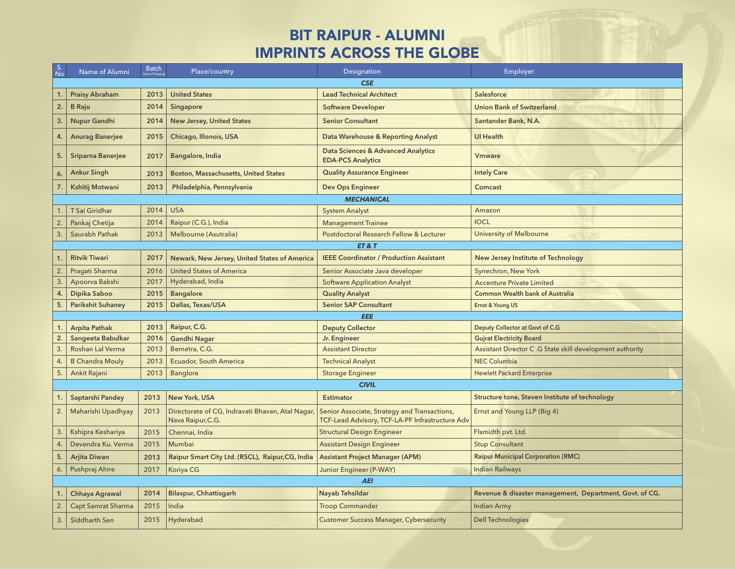## BIT RAIPUR - ALUMNI IMPRINTS ACROSS THE GLOBE

| S.<br>No | Name of Alumni            | <b>Batch</b><br>Year of Passi | Place/country                                                         | <b>Designation</b>                                                                              | Employer                                                 |  |  |  |  |
|----------|---------------------------|-------------------------------|-----------------------------------------------------------------------|-------------------------------------------------------------------------------------------------|----------------------------------------------------------|--|--|--|--|
|          | <b>CSE</b>                |                               |                                                                       |                                                                                                 |                                                          |  |  |  |  |
| 1.       | <b>Praisy Abraham</b>     | 2013                          | <b>United States</b>                                                  | <b>Lead Technical Architect</b>                                                                 | <b>Salesforce</b>                                        |  |  |  |  |
| 2.       | <b>B</b> Raju             | 2014                          | Singapore                                                             | <b>Software Developer</b>                                                                       | <b>Union Bank of Switzerland</b>                         |  |  |  |  |
| 3.       | <b>Nupur Gandhi</b>       | 2014                          | <b>New Jersey, United States</b>                                      | <b>Senior Consultant</b>                                                                        | Santander Bank, N.A.                                     |  |  |  |  |
| 4.       | <b>Anurag Banerjee</b>    | 2015                          | Chicago, Illonois, USA                                                | Data Warehouse & Reporting Analyst                                                              | <b>UI Health</b>                                         |  |  |  |  |
| 5.       | <b>Sriparna Banerjee</b>  | 2017                          | Bangalore, India                                                      | <b>Data Sciences &amp; Advanced Analytics</b><br><b>EDA-PCS Analytics</b>                       | <b>V</b> mware                                           |  |  |  |  |
| 6.       | <b>Ankur Singh</b>        | 2013                          | <b>Boston, Massachusetts, United States</b>                           | <b>Quality Assurance Engineer</b>                                                               | <b>Intely Care</b>                                       |  |  |  |  |
| 7.       | Kshitij Motwani           | 2013                          | Philadelphia, Pennsylvania                                            | <b>Dev Ops Engineer</b>                                                                         | Comcast                                                  |  |  |  |  |
|          |                           |                               |                                                                       | <b>MECHANICAL</b>                                                                               |                                                          |  |  |  |  |
|          | T Sai Giridhar            | 2014                          | <b>USA</b>                                                            | <b>System Analyst</b>                                                                           | Amazon                                                   |  |  |  |  |
| 2.       | Pankaj Chetija            | 2014                          | Raipur (C.G.), India                                                  | <b>Management Trainee</b>                                                                       | <b>IOCL</b>                                              |  |  |  |  |
| 3.       | Saurabh Pathak            | 2013                          | Melbourne (Asutralia)                                                 | Postdoctoral Research Fellow & Lecturer                                                         | <b>University of Melbourne</b>                           |  |  |  |  |
|          |                           |                               |                                                                       | ET&T                                                                                            |                                                          |  |  |  |  |
|          | <b>Ritvik Tiwari</b>      | 2017                          | Newark, New Jersey, United States of America                          | <b>IEEE Coordinator / Production Assistant</b>                                                  | New Jersey Institute of Technology                       |  |  |  |  |
| 2.       | Pragati Sharma            | 2016                          | <b>United States of America</b>                                       | Senior Associate Java developer                                                                 | Synechron, New York                                      |  |  |  |  |
| 3.       | Apoorva Bakshi            | 2017                          | Hyderabad, India                                                      | <b>Software Application Analyst</b>                                                             | <b>Accenture Private Limited</b>                         |  |  |  |  |
| 4.       | Dipika Saboo              | 2015                          | <b>Bangalore</b>                                                      | <b>Quality Analyst</b>                                                                          | <b>Common Wealth bank of Australia</b>                   |  |  |  |  |
| 5.       | <b>Parikshit Suhaney</b>  | 2015                          | Dallas, Texas/USA                                                     | <b>Senior SAP Consultant</b>                                                                    | Ernst & Young US                                         |  |  |  |  |
|          |                           |                               |                                                                       | <b>EEE</b>                                                                                      |                                                          |  |  |  |  |
| 1.       | <b>Arpita Pathak</b>      | 2013                          | Raipur, C.G.                                                          | <b>Deputy Collector</b>                                                                         | Deputy Collector at Govt of C.G                          |  |  |  |  |
| 2.       | Sangeeta Babulkar         | 2016                          | <b>Gandhi Nagar</b>                                                   | Jr. Engineer                                                                                    | <b>Gujrat Electricity Board</b>                          |  |  |  |  |
| 3.       | Roshan Lal Verma          | 2013                          | Bemetra, C.G.                                                         | <b>Assistant Director</b>                                                                       | Assistant Director C.G State skill development authority |  |  |  |  |
| 4.       | <b>B Chandra Mouly</b>    | 2013                          | Ecuador, South America                                                | <b>Technical Analyst</b>                                                                        | <b>NEC Columbia</b>                                      |  |  |  |  |
| 5.       | Ankit Rajani              | 2013                          | <b>Banglore</b>                                                       | <b>Storage Engineer</b>                                                                         | <b>Hewlett Packard Enterprise</b>                        |  |  |  |  |
|          |                           |                               |                                                                       | <b>CIVIL</b>                                                                                    |                                                          |  |  |  |  |
|          | Saptarshi Pandey          | 2013                          | New York, USA                                                         | <b>Estimator</b>                                                                                | Structure tone, Steven Institute of technology           |  |  |  |  |
| 2.       | Maharishi Upadhyay        | 2013                          | Directorate of CG, Indravati Bhavan, Atal Nagar,<br>Nava Raipur, C.G. | Senior Associate, Strategy and Transactions,<br>TCF-Lead Advisory, TCF-LA-PF Infrastructure Adv | Ernst and Young LLP (Big 4)                              |  |  |  |  |
| 3.       | Kshipra Keshariya         | 2015                          | Chennai, India                                                        | <b>Structural Design Engineer</b>                                                               | Flsmidth pvt. Ltd.                                       |  |  |  |  |
| 4.       | Devendra Ku. Verma        | 2015                          | Mumbai                                                                | <b>Assistant Design Engineer</b>                                                                | <b>Stup Consultant</b>                                   |  |  |  |  |
| 5.       | <b>Arjita Diwan</b>       | 2013                          | Raipur Smart City Ltd. (RSCL), Raipur, CG, India                      | <b>Assistant Project Manager (APM)</b>                                                          | <b>Raipur Municipal Corporation (RMC)</b>                |  |  |  |  |
| 6.       | Pushpraj Ahire            | 2017                          | Koriya CG                                                             | <b>Junior Engineer (P-WAY)</b>                                                                  | <b>Indian Railways</b>                                   |  |  |  |  |
|          | <b>AEI</b>                |                               |                                                                       |                                                                                                 |                                                          |  |  |  |  |
|          | Chhaya Agrawal            | 2014                          | <b>Bilaspur, Chhattisgarh</b>                                         | Nayab Tehsildar                                                                                 | Revenue & disaster management, Department, Govt. of CG.  |  |  |  |  |
| 2        | <b>Capt Samrat Sharma</b> | 2015                          | India                                                                 | <b>Troop Commander</b>                                                                          | <b>Indian Army</b>                                       |  |  |  |  |
| 3.       | Siddharth Sen             | 2015                          | Hyderabad                                                             | <b>Customer Success Manager, Cybersecurity</b>                                                  | <b>Dell Technologies</b>                                 |  |  |  |  |